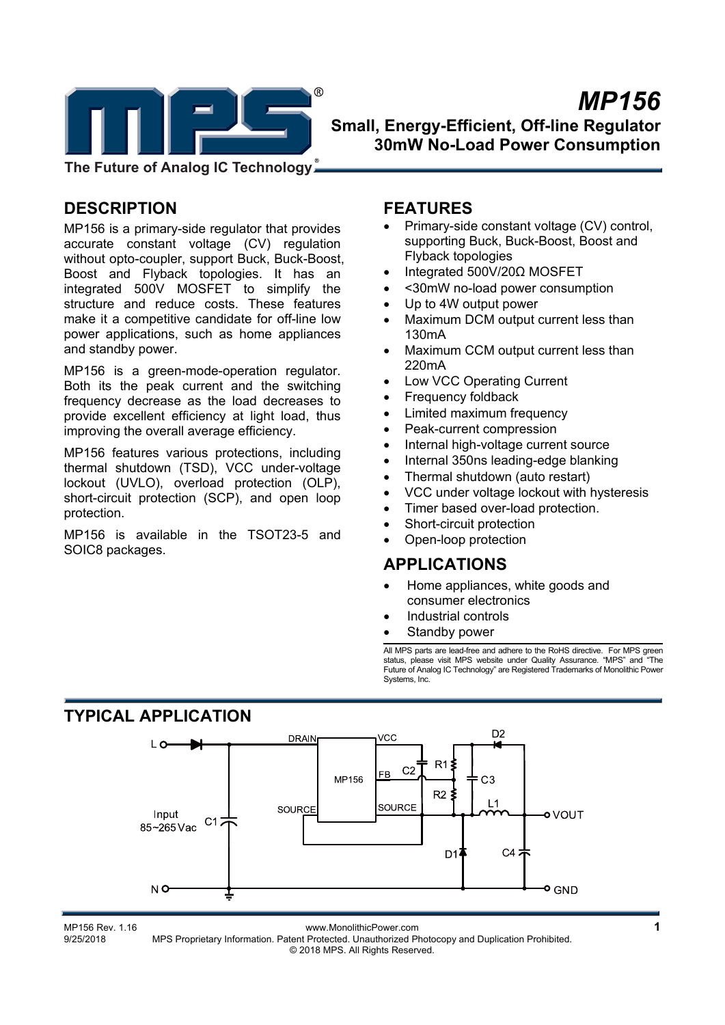

**The Future of Analog IC Technology**

# **DESCRIPTION**

MP156 is a primary-side regulator that provides accurate constant voltage (CV) regulation without opto-coupler, support Buck, Buck-Boost, Boost and Flyback topologies. It has an integrated 500V MOSFET to simplify the structure and reduce costs. These features make it a competitive candidate for off-line low power applications, such as home appliances and standby power.

MP156 is a green-mode-operation regulator. Both its the peak current and the switching frequency decrease as the load decreases to provide excellent efficiency at light load, thus improving the overall average efficiency.

MP156 features various protections, including thermal shutdown (TSD), VCC under-voltage lockout (UVLO), overload protection (OLP), short-circuit protection (SCP), and open loop protection.

MP156 is available in the TSOT23-5 and SOIC8 packages.

## **FEATURES**

- Primary-side constant voltage (CV) control, supporting Buck, Buck-Boost, Boost and Flyback topologies
- Integrated 500V/20Ω MOSFET
- <30mW no-load power consumption
- Up to 4W output power
- Maximum DCM output current less than 130mA
- Maximum CCM output current less than 220mA
- Low VCC Operating Current
- Frequency foldback
- Limited maximum frequency
- Peak-current compression
- Internal high-voltage current source
- Internal 350ns leading-edge blanking
- Thermal shutdown (auto restart)
- VCC under voltage lockout with hysteresis
- Timer based over-load protection.
- Short-circuit protection
- Open-loop protection

## **APPLICATIONS**

- Home appliances, white goods and consumer electronics
- Industrial controls
- Standby power

All MPS parts are lead-free and adhere to the RoHS directive. For MPS green status, please visit MPS website under Quality Assurance. "MPS" and "The Future of Analog IC Technology" are Registered Trademarks of Monolithic Power Systems, Inc.



01 www.MonolithicPower.com<br>1 9/25/2018 MPS Proprietary Information. Patent Protected. Unauthorized Photocopy and Duplication Prohibited. MPS Proprietary Information. Patent Protected. Unauthorized Photocopy and Duplication Prohibited. © 2018 MPS. All Rights Reserved.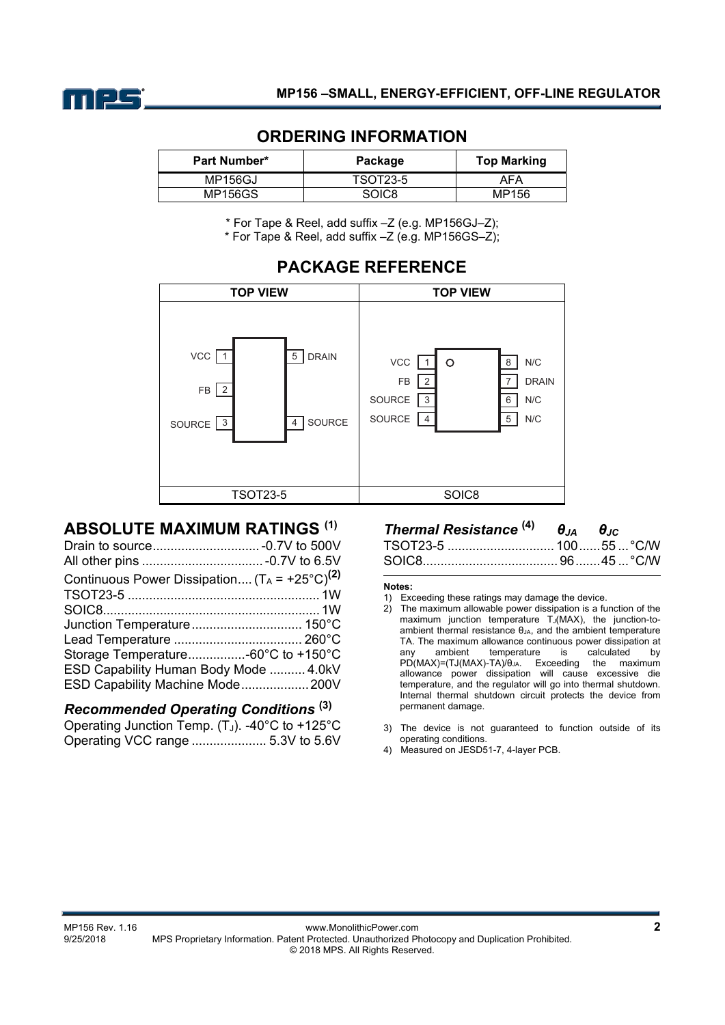

| <b>Part Number*</b> | Package         | <b>Top Marking</b> |
|---------------------|-----------------|--------------------|
| <b>MP156GJ</b>      | <b>TSOT23-5</b> | AFA                |
| MP156GS             | <b>SOIC8</b>    | MP156              |

## **ORDERING INFORMATION**

\* For Tape & Reel, add suffix –Z (e.g. MP156GJ–Z);

\* For Tape & Reel, add suffix –Z (e.g. MP156GS–Z);

# **PACKAGE REFERENCE**



# **ABSOLUTE MAXIMUM RATINGS (1)**

| Continuous Power Dissipation $(T_A = +25^{\circ}C)^{(2)}$ |
|-----------------------------------------------------------|
|                                                           |
|                                                           |
|                                                           |
|                                                           |
| Storage Temperature-60°C to +150°C                        |
| ESD Capability Human Body Mode  4.0kV                     |
| ESD Capability Machine Mode200V                           |
|                                                           |

## *Recommended Operating Conditions* **(3)**

Operating Junction Temp.  $(T_J)$ . -40°C to +125°C Operating VCC range ..................... 5.3V to 5.6V

#### *Thermal Resistance* **(4)** *θJA θJC* TSOT23-5 .............................. 100 ...... 55 ... °C/W SOIC8...................................... 96 ....... 45 ... °C/W

#### **Notes:**

- 1) Exceeding these ratings may damage the device.<br>2) The maximum allowable power dissipation is a fu
- 2) The maximum allowable power dissipation is a function of the maximum junction temperature  $T_J(MAX)$ , the junction-toambient thermal resistance  $\theta_{JA}$ , and the ambient temperature TA. The maximum allowance continuous power dissipation at any ambient temperature is calculated by any ambient temperature is calculated by PD(MAX)=(TJ(MAX)-TA)/θJA. Exceeding the maximum allowance power dissipation will cause excessive die temperature, and the regulator will go into thermal shutdown. Internal thermal shutdown circuit protects the device from permanent damage.
- 3) The device is not guaranteed to function outside of its operating conditions.
- 4) Measured on JESD51-7, 4-layer PCB.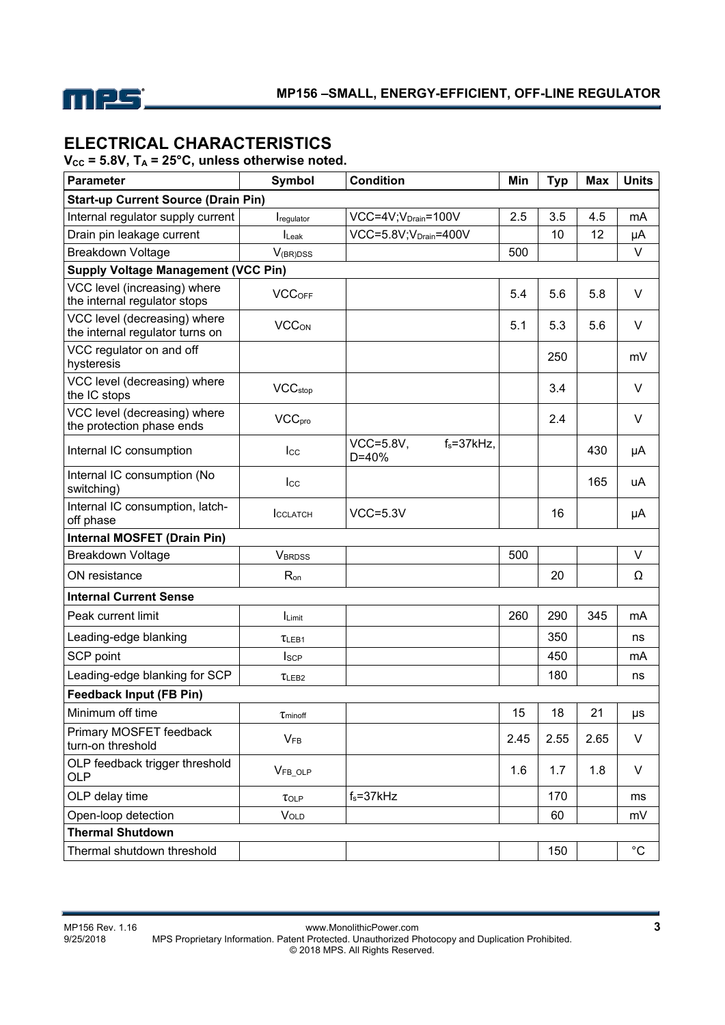

# **ELECTRICAL CHARACTERISTICS**

 $V_{\text{CC}}$  = 5.8V,  $T_A$  = 25°C, unless otherwise noted.

| <b>Parameter</b>                                                | Symbol                   | <b>Condition</b>                                 | Min  | <b>Typ</b> | <b>Max</b> | <b>Units</b> |
|-----------------------------------------------------------------|--------------------------|--------------------------------------------------|------|------------|------------|--------------|
| <b>Start-up Current Source (Drain Pin)</b>                      |                          |                                                  |      |            |            |              |
| Internal regulator supply current                               | Iregulator               | VCC=4V; V <sub>Drain</sub> =100V                 | 2.5  | 3.5        | 4.5        | mA           |
| Drain pin leakage current                                       | $I_{\text{Leak}}$        | VCC=5.8V;V <sub>Drain</sub> =400V                |      | 10         | 12         | μA           |
| <b>Breakdown Voltage</b>                                        | $V_{\text{(BR)DSS}}$     |                                                  | 500  |            |            | $\vee$       |
| <b>Supply Voltage Management (VCC Pin)</b>                      |                          |                                                  |      |            |            |              |
| VCC level (increasing) where<br>the internal regulator stops    | VCC <sub>OFF</sub>       |                                                  | 5.4  | 5.6        | 5.8        | V            |
| VCC level (decreasing) where<br>the internal regulator turns on | <b>VCCON</b>             |                                                  | 5.1  | 5.3        | 5.6        | V            |
| VCC regulator on and off<br>hysteresis                          |                          |                                                  |      | 250        |            | mV           |
| VCC level (decreasing) where<br>the IC stops                    | <b>VCC</b> stop          |                                                  |      | 3.4        |            | V            |
| VCC level (decreasing) where<br>the protection phase ends       | <b>VCC<sub>pro</sub></b> |                                                  |      | 2.4        |            | V            |
| Internal IC consumption                                         | $_{\rm lcc}$             | <b>VCC=5.8V,</b><br>$f_s = 37$ kHz,<br>$D = 40%$ |      |            | 430        | μA           |
| Internal IC consumption (No<br>switching)                       | $_{\text{Lcc}}$          |                                                  |      |            | 165        | uA           |
| Internal IC consumption, latch-<br>off phase                    | <b>ICCLATCH</b>          | $VCC = 5.3V$                                     |      | 16         |            | μA           |
| <b>Internal MOSFET (Drain Pin)</b>                              |                          |                                                  |      |            |            |              |
| <b>Breakdown Voltage</b>                                        | <b>VBRDSS</b>            |                                                  | 500  |            |            | V            |
| ON resistance                                                   | R <sub>on</sub>          |                                                  |      | 20         |            | Ω            |
| <b>Internal Current Sense</b>                                   |                          |                                                  |      |            |            |              |
| Peak current limit                                              | Limit                    |                                                  | 260  | 290        | 345        | mA           |
| Leading-edge blanking                                           | $\tau$ LEB1              |                                                  |      | 350        |            | ns           |
| SCP point                                                       | <b>I</b> scp             |                                                  |      | 450        |            | mA           |
| Leading-edge blanking for SCP                                   | TLEB <sub>2</sub>        |                                                  |      | 180        |            | ns           |
| <b>Feedback Input (FB Pin)</b>                                  |                          |                                                  |      |            |            |              |
| Minimum off time                                                | $\tau$ minoff            |                                                  | 15   | 18         | 21         | μs           |
| Primary MOSFET feedback<br>turn-on threshold                    | $V_{FB}$                 |                                                  | 2.45 | 2.55       | 2.65       | V            |
| OLP feedback trigger threshold<br><b>OLP</b>                    | VFB_OLP                  |                                                  | 1.6  | 1.7        | 1.8        | V            |
| OLP delay time                                                  | $\tau_{OLP}$             | $f_s = 37kHz$                                    |      | 170        |            | ms           |
| Open-loop detection                                             | <b>VOLD</b>              |                                                  |      | 60         |            | mV           |
| <b>Thermal Shutdown</b>                                         |                          |                                                  |      |            |            |              |
| Thermal shutdown threshold                                      |                          |                                                  |      | 150        |            | $^{\circ}$ C |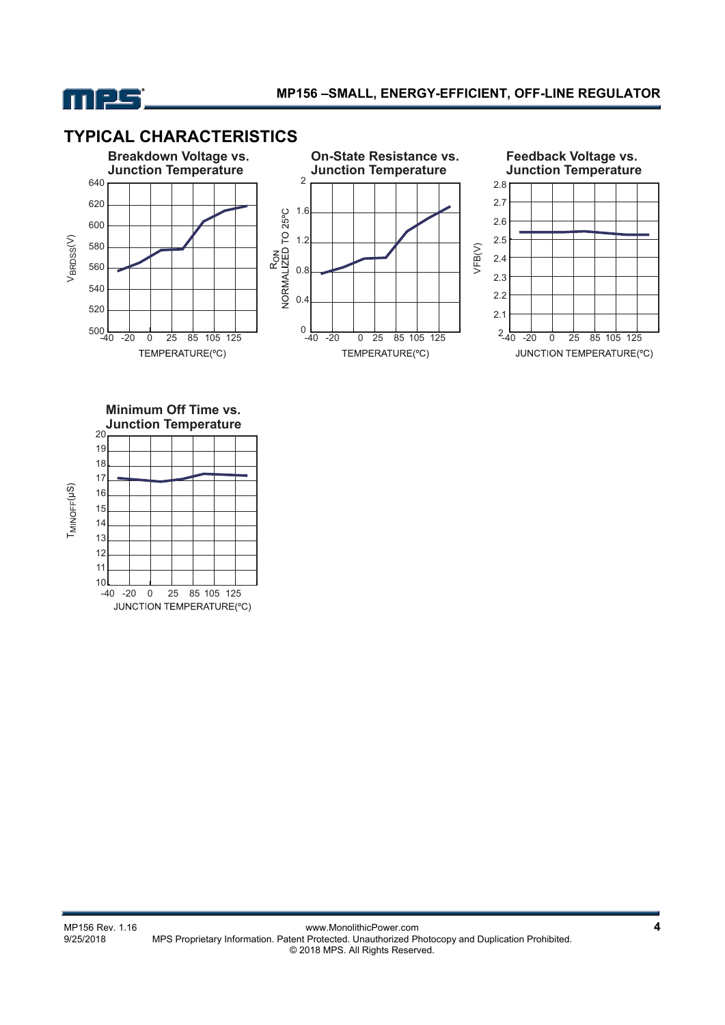

# **TYPICAL CHARACTERISTICS**







**Minimum Off Time vs. Junction Temperature**



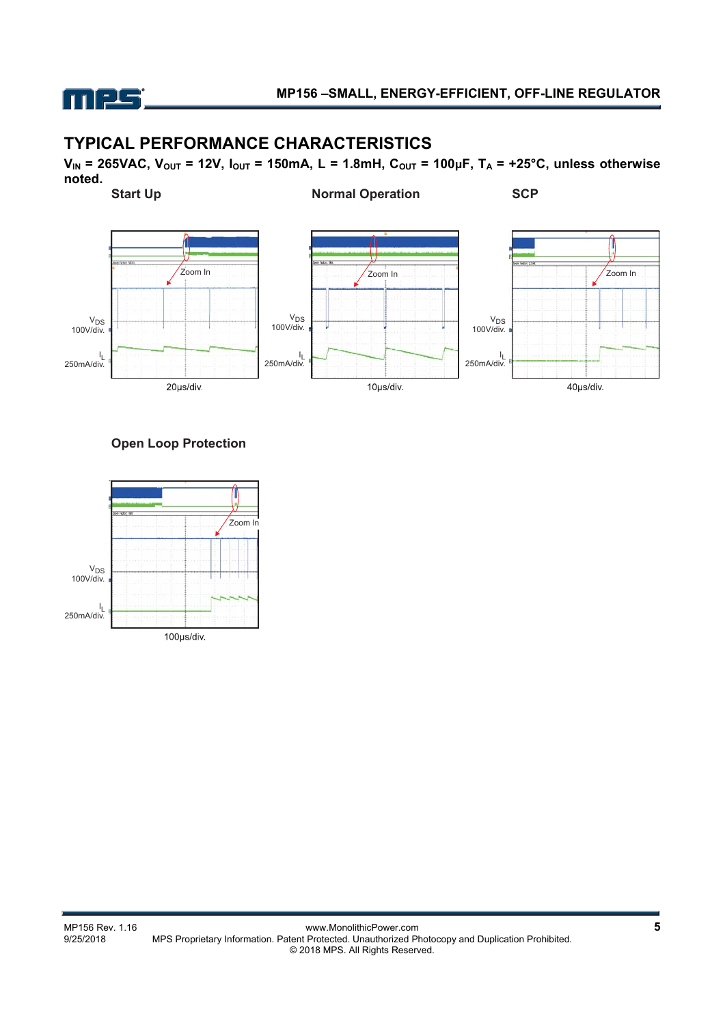

## **TYPICAL PERFORMANCE CHARACTERISTICS**

**VIN = 265VAC, VOUT = 12V, IOUT = 150mA, L = 1.8mH, COUT = 100μF, TA = +25°C, unless otherwise noted.** 



## **Open Loop Protection**

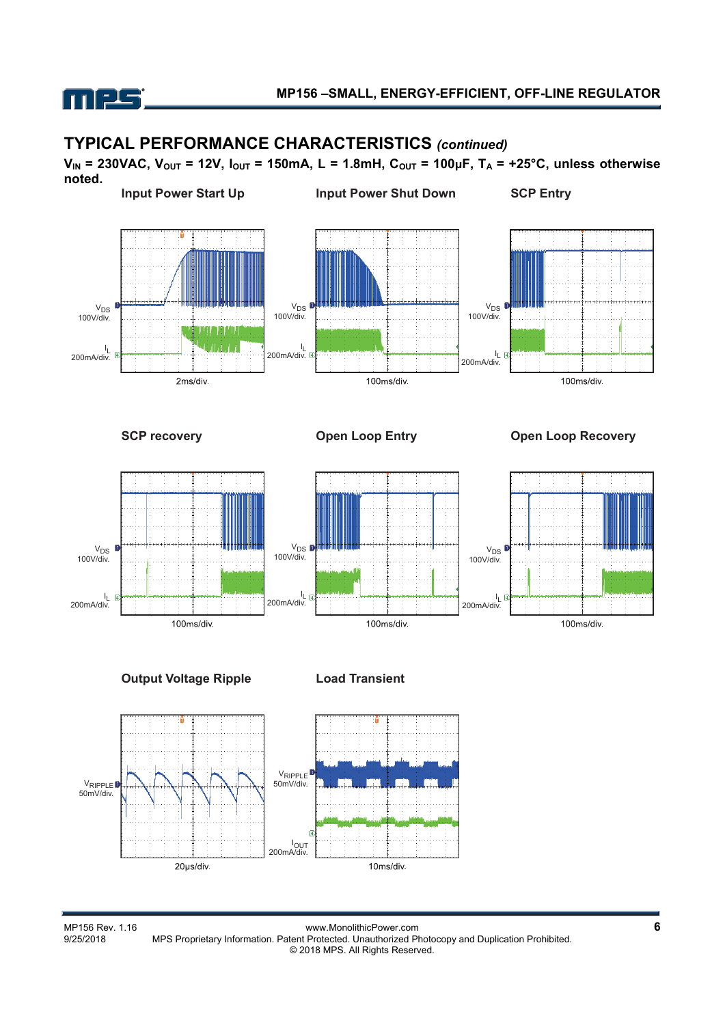

## **TYPICAL PERFORMANCE CHARACTERISTICS** *(continued)*

**VIN = 230VAC, VOUT = 12V, IOUT = 150mA, L = 1.8mH, COUT = 100μF, TA = +25°C, unless otherwise noted.** 



**Output Voltage Ripple Load Transient**





MP156 Rev. 1.16<br>9/25/2018 MPS Proprietary Information. Patent Protected. Unauthorized Photocopy and Duplication Prohibited. MPS Proprietary Information. Patent Protected. Unauthorized Photocopy and Duplication Prohibited. © 2018 MPS. All Rights Reserved.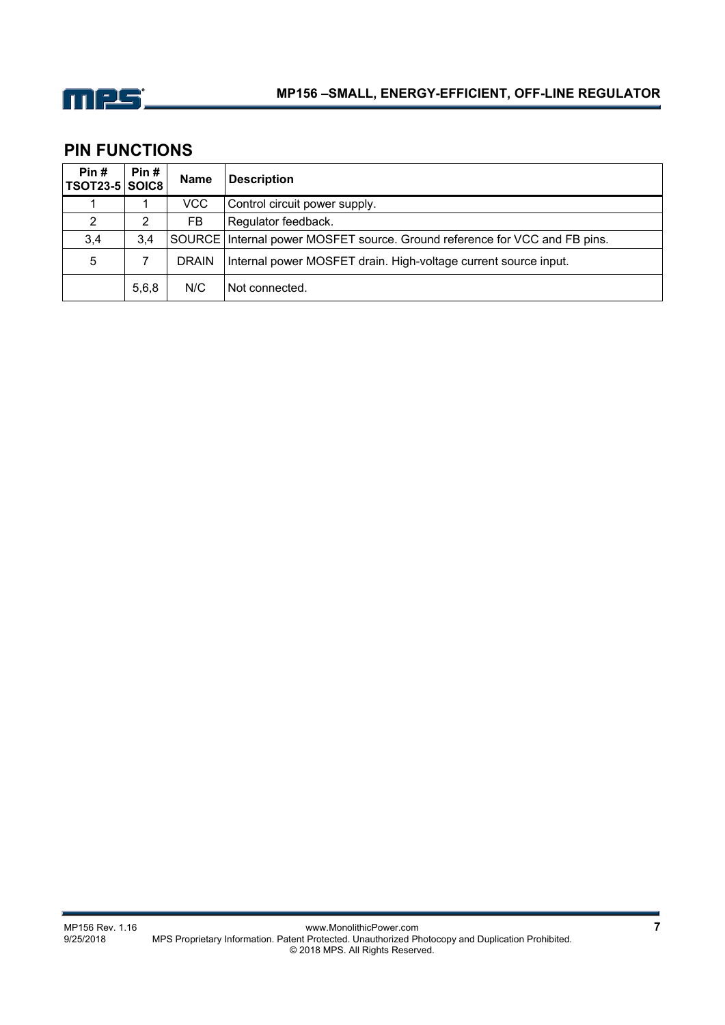

# **PIN FUNCTIONS**

| Pin#<br><b>TSOT23-5 SOIC8</b> | Pin#  | <b>Name</b>  | <b>Description</b>                                                           |
|-------------------------------|-------|--------------|------------------------------------------------------------------------------|
|                               |       | <b>VCC</b>   | Control circuit power supply.                                                |
| 2                             | 2     | FB           | Regulator feedback.                                                          |
| 3,4                           | 3.4   |              | SOURCE   Internal power MOSFET source. Ground reference for VCC and FB pins. |
| 5                             |       | <b>DRAIN</b> | Internal power MOSFET drain. High-voltage current source input.              |
|                               | 5,6,8 | N/C          | Not connected.                                                               |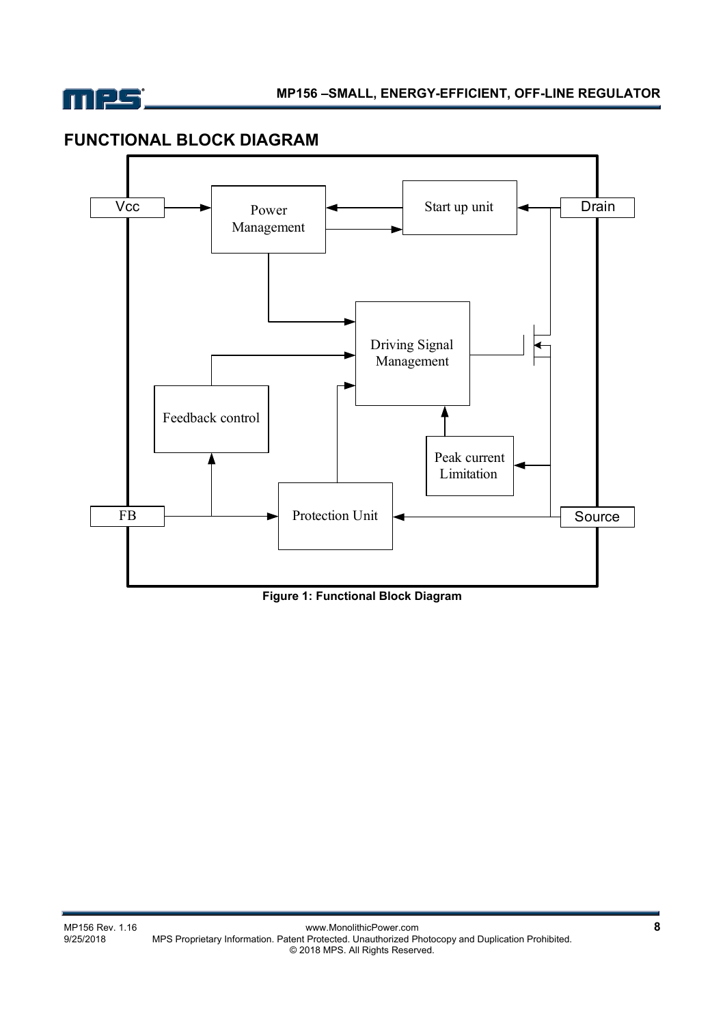

# **FUNCTIONAL BLOCK DIAGRAM**



**Figure 1: Functional Block Diagram**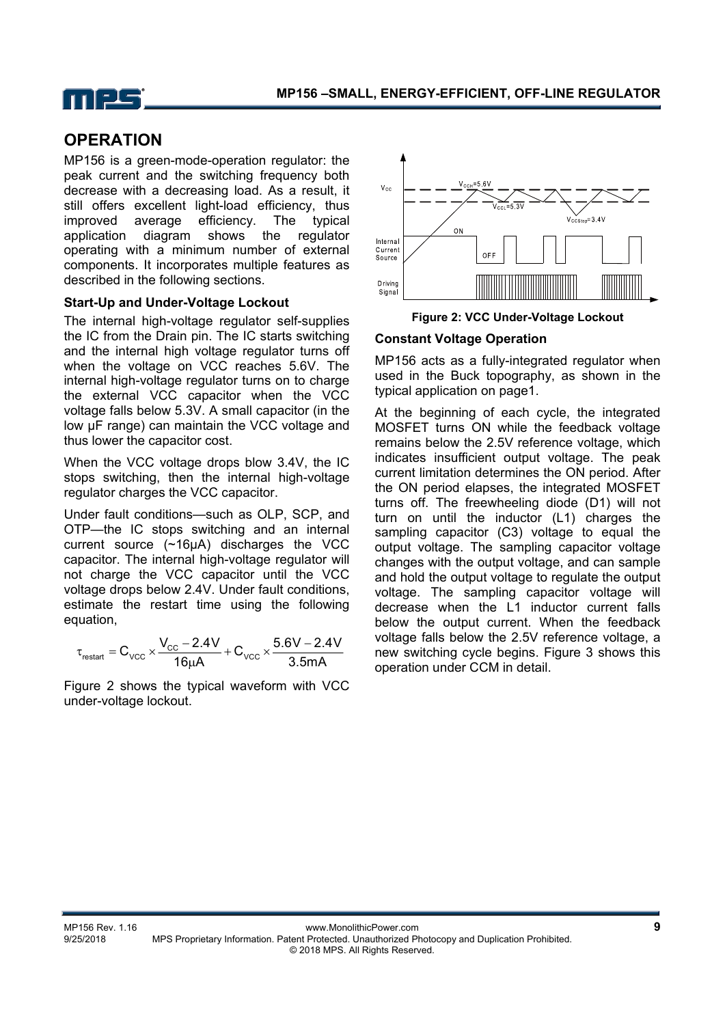

# **OPERATION**

MP156 is a green-mode-operation regulator: the peak current and the switching frequency both decrease with a decreasing load. As a result, it still offers excellent light-load efficiency, thus improved average efficiency. The typical application diagram shows the regulator operating with a minimum number of external components. It incorporates multiple features as described in the following sections.

## **Start-Up and Under-Voltage Lockout**

The internal high-voltage regulator self-supplies the IC from the Drain pin. The IC starts switching and the internal high voltage regulator turns off when the voltage on VCC reaches 5.6V. The internal high-voltage regulator turns on to charge the external VCC capacitor when the VCC voltage falls below 5.3V. A small capacitor (in the low μF range) can maintain the VCC voltage and thus lower the capacitor cost.

When the VCC voltage drops blow 3.4V, the IC stops switching, then the internal high-voltage regulator charges the VCC capacitor.

Under fault conditions—such as OLP, SCP, and OTP—the IC stops switching and an internal current source (~16μA) discharges the VCC capacitor. The internal high-voltage regulator will not charge the VCC capacitor until the VCC voltage drops below 2.4V. Under fault conditions, estimate the restart time using the following equation,

$$
\tau_{\text{restart}} = C_{\text{VCC}} \times \frac{V_{\text{CC}} - 2.4V}{16 \mu A} + C_{\text{VCC}} \times \frac{5.6V - 2.4V}{3.5mA}
$$

Figure 2 shows the typical waveform with VCC under-voltage lockout.



**Figure 2: VCC Under-Voltage Lockout** 

## **Constant Voltage Operation**

MP156 acts as a fully-integrated regulator when used in the Buck topography, as shown in the typical application on page1.

At the beginning of each cycle, the integrated MOSFET turns ON while the feedback voltage remains below the 2.5V reference voltage, which indicates insufficient output voltage. The peak current limitation determines the ON period. After the ON period elapses, the integrated MOSFET turns off. The freewheeling diode (D1) will not turn on until the inductor (L1) charges the sampling capacitor (C3) voltage to equal the output voltage. The sampling capacitor voltage changes with the output voltage, and can sample and hold the output voltage to regulate the output voltage. The sampling capacitor voltage will decrease when the L1 inductor current falls below the output current. When the feedback voltage falls below the 2.5V reference voltage, a new switching cycle begins. Figure 3 shows this operation under CCM in detail.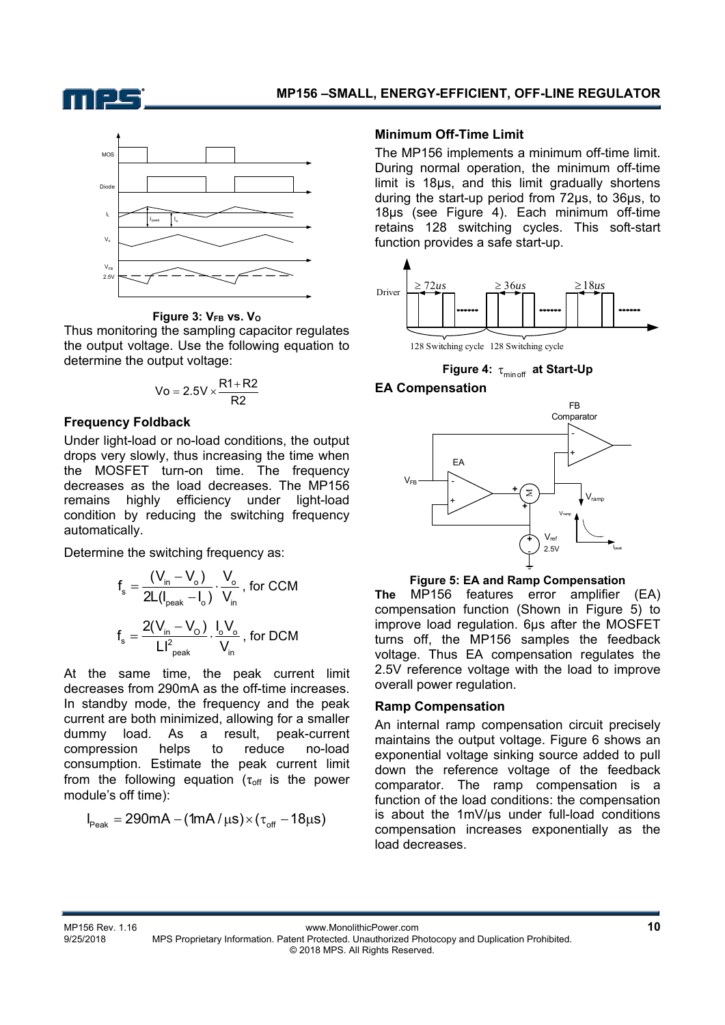



**Figure 3: VFB vs. VO**

Thus monitoring the sampling capacitor regulates the output voltage. Use the following equation to determine the output voltage:

$$
Vo=2.5V\times\frac{R1+R2}{R2}
$$

#### **Frequency Foldback**

Under light-load or no-load conditions, the output drops very slowly, thus increasing the time when the MOSFET turn-on time. The frequency decreases as the load decreases. The MP156 remains highly efficiency under light-load condition by reducing the switching frequency automatically.

Determine the switching frequency as:

$$
f_s = \frac{(V_{in} - V_o)}{2L(I_{peak} - I_o)} \cdot \frac{V_o}{V_{in}}
$$
, for CCM  

$$
f_s = \frac{2(V_{in} - V_o)}{LI_{peak}^2} \cdot \frac{I_o V_o}{V_{in}}
$$
, for DCM

At the same time, the peak current limit decreases from 290mA as the off-time increases. In standby mode, the frequency and the peak current are both minimized, allowing for a smaller dummy load. As a result, peak-current compression helps to reduce no-load consumption. Estimate the peak current limit from the following equation ( $\tau_{off}$  is the power module's off time):

$$
I_{\text{Peak}}=290mA-(1mA/\mu s)\times(\tau_{\text{off}}-18\mu s)
$$

### **Minimum Off-Time Limit**

The MP156 implements a minimum off-time limit. During normal operation, the minimum off-time limit is 18μs, and this limit gradually shortens during the start-up period from 72μs, to 36μs, to 18μs (see Figure 4). Each minimum off-time retains 128 switching cycles. This soft-start function provides a safe start-up.



128 Switching cycle 128 Switching cycle

Figure 4:  $\tau_{\text{minor}}$  at Start-Up

## **EA Compensation**



**Figure 5: EA and Ramp Compensation** 

**The** MP156 features error amplifier (EA) compensation function (Shown in Figure 5) to improve load regulation. 6µs after the MOSFET turns off, the MP156 samples the feedback voltage. Thus EA compensation regulates the 2.5V reference voltage with the load to improve overall power regulation.

## **Ramp Compensation**

An internal ramp compensation circuit precisely maintains the output voltage. Figure 6 shows an exponential voltage sinking source added to pull down the reference voltage of the feedback comparator. The ramp compensation is a function of the load conditions: the compensation is about the 1mV/µs under full-load conditions compensation increases exponentially as the load decreases.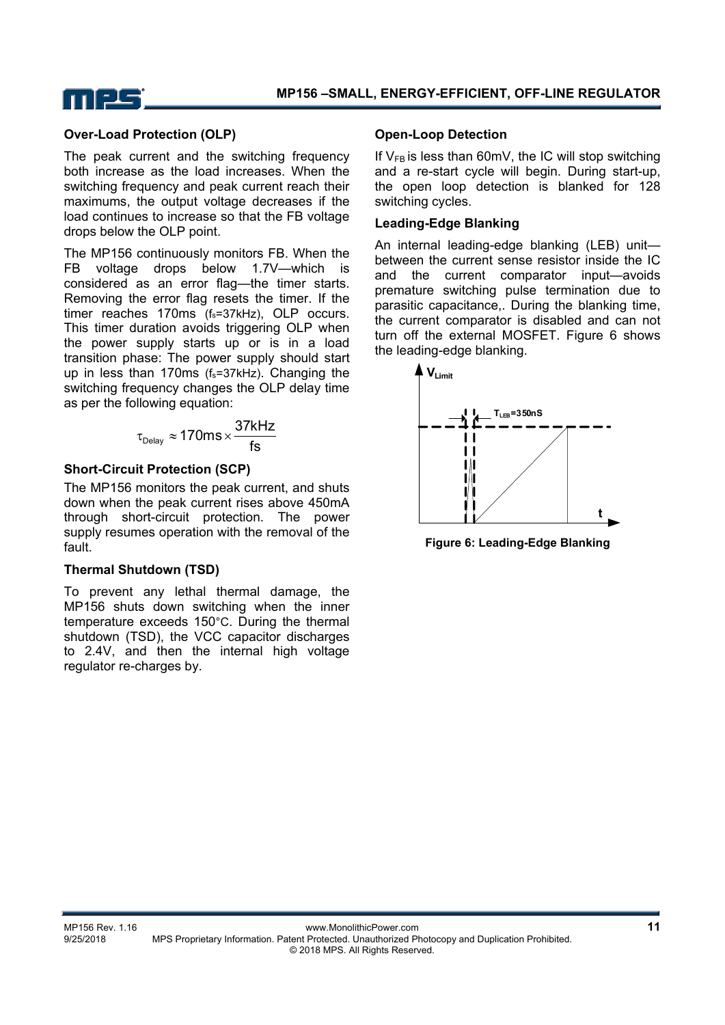

### **Over-Load Protection (OLP)**

The peak current and the switching frequency both increase as the load increases. When the switching frequency and peak current reach their maximums, the output voltage decreases if the load continues to increase so that the FB voltage drops below the OLP point.

The MP156 continuously monitors FB. When the FB voltage drops below 1.7V—which is considered as an error flag—the timer starts. Removing the error flag resets the timer. If the timer reaches 170ms  $(f_s=37kHz)$ , OLP occurs. This timer duration avoids triggering OLP when the power supply starts up or is in a load transition phase: The power supply should start up in less than 170ms (fs=37kHz). Changing the switching frequency changes the OLP delay time as per the following equation:

$$
\tau_{\text{Delay}} \approx 170 \text{ms} \times \frac{37 \text{kHz}}{\text{fs}}
$$

### **Short-Circuit Protection (SCP)**

The MP156 monitors the peak current, and shuts down when the peak current rises above 450mA through short-circuit protection. The power supply resumes operation with the removal of the fault.

#### **Thermal Shutdown (TSD)**

To prevent any lethal thermal damage, the MP156 shuts down switching when the inner temperature exceeds 150°C. During the thermal shutdown (TSD), the VCC capacitor discharges to 2.4V, and then the internal high voltage regulator re-charges by.

#### **Open-Loop Detection**

If  $V_{FB}$  is less than 60mV, the IC will stop switching and a re-start cycle will begin. During start-up, the open loop detection is blanked for 128 switching cycles.

#### **Leading-Edge Blanking**

An internal leading-edge blanking (LEB) unit between the current sense resistor inside the IC and the current comparator input—avoids premature switching pulse termination due to parasitic capacitance,. During the blanking time, the current comparator is disabled and can not turn off the external MOSFET. Figure 6 shows the leading-edge blanking.



**Figure 6: Leading-Edge Blanking**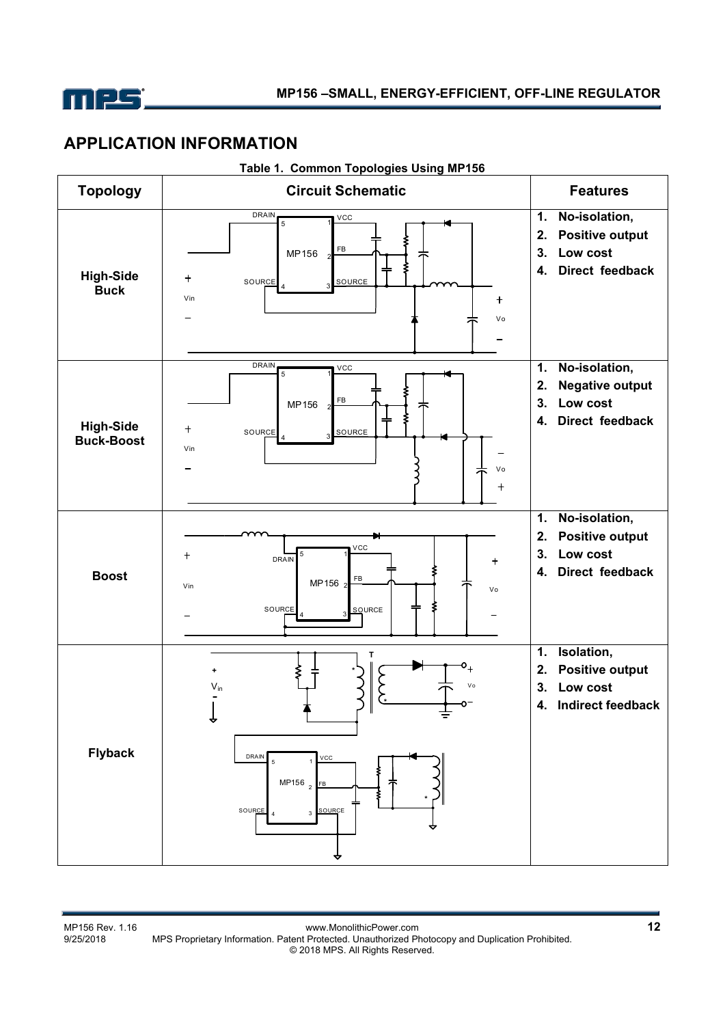

## **APPLICATION INFORMATION**

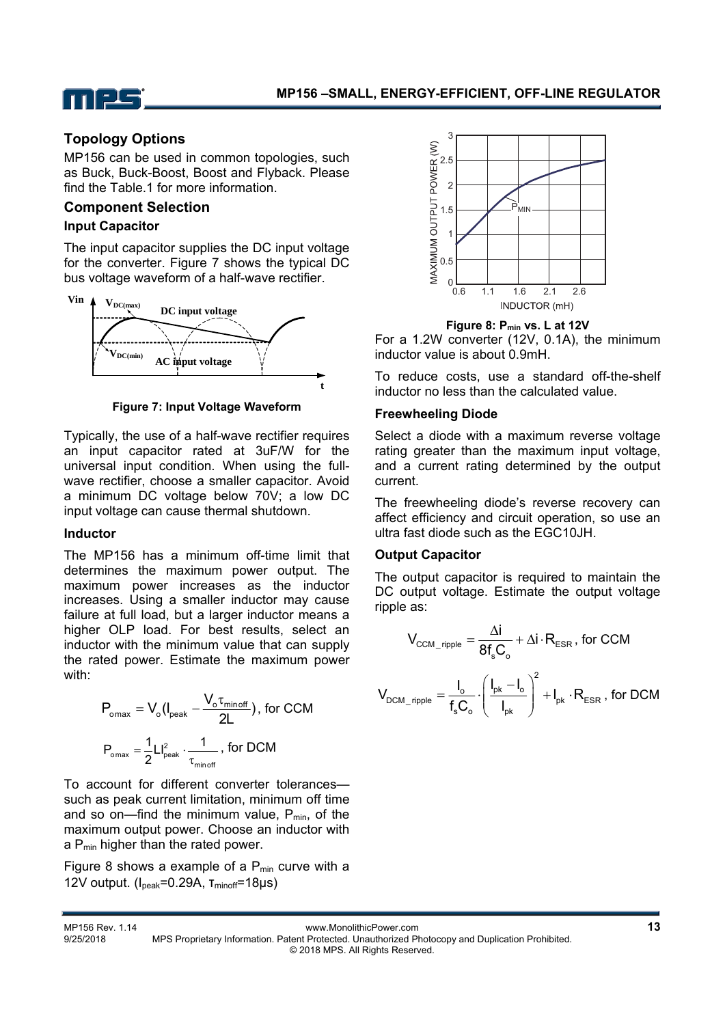

## **Topology Options**

MP156 can be used in common topologies, such as Buck, Buck-Boost, Boost and Flyback. Please find the Table.1 for more information.

## **Component Selection**

#### **Input Capacitor**

The input capacitor supplies the DC input voltage for the converter. Figure 7 shows the typical DC bus voltage waveform of a half-wave rectifier.



**Figure 7: Input Voltage Waveform** 

Typically, the use of a half-wave rectifier requires an input capacitor rated at 3uF/W for the universal input condition. When using the fullwave rectifier, choose a smaller capacitor. Avoid a minimum DC voltage below 70V; a low DC input voltage can cause thermal shutdown.

#### **Inductor**

The MP156 has a minimum off-time limit that determines the maximum power output. The maximum power increases as the inductor increases. Using a smaller inductor may cause failure at full load, but a larger inductor means a higher OLP load. For best results, select an inductor with the minimum value that can supply the rated power. Estimate the maximum power with:

$$
P_{\text{omax}} = V_{o} (I_{\text{peak}} - \frac{V_{o} \tau_{\text{minoff}}}{2L}), \text{ for CCM}
$$

$$
P_{\text{omax}} = \frac{1}{2} L I_{\text{peak}}^{2} \cdot \frac{1}{\tau_{\text{minoff}}}, \text{ for DCM}
$$

To account for different converter tolerances such as peak current limitation, minimum off time and so on—find the minimum value,  $P_{min}$ , of the maximum output power. Choose an inductor with a P<sub>min</sub> higher than the rated power.

Figure 8 shows a example of a  $P_{min}$  curve with a 12V output. (I<sub>peak</sub>=0.29A, τ<sub>minoff</sub>=18μs)



**Figure 8: Pmin vs. L at 12V** 

For a 1.2W converter (12V, 0.1A), the minimum inductor value is about 0.9mH.

To reduce costs, use a standard off-the-shelf inductor no less than the calculated value.

#### **Freewheeling Diode**

Select a diode with a maximum reverse voltage rating greater than the maximum input voltage. and a current rating determined by the output current.

The freewheeling diode's reverse recovery can affect efficiency and circuit operation, so use an ultra fast diode such as the EGC10JH.

### **Output Capacitor**

The output capacitor is required to maintain the DC output voltage. Estimate the output voltage ripple as:

$$
V_{\text{CCM\_ripple}} = \frac{\Delta i}{8f_s C_o} + \Delta i \cdot R_{\text{ESR}}, \text{ for CCM}
$$
\n
$$
V_{\text{DCM\_ripple}} = \frac{I_o}{f_s C_o} \cdot \left(\frac{I_{pk} - I_o}{I_{pk}}\right)^2 + I_{pk} \cdot R_{\text{ESR}}, \text{ for DCM}
$$

| MP156 Rev. 1.14 | www.MonolithicPower.com                                                                           |  |
|-----------------|---------------------------------------------------------------------------------------------------|--|
| 9/25/2018       | MPS Proprietary Information. Patent Protected. Unauthorized Photocopy and Duplication Prohibited. |  |
|                 | © 2018 MPS. All Rights Reserved.                                                                  |  |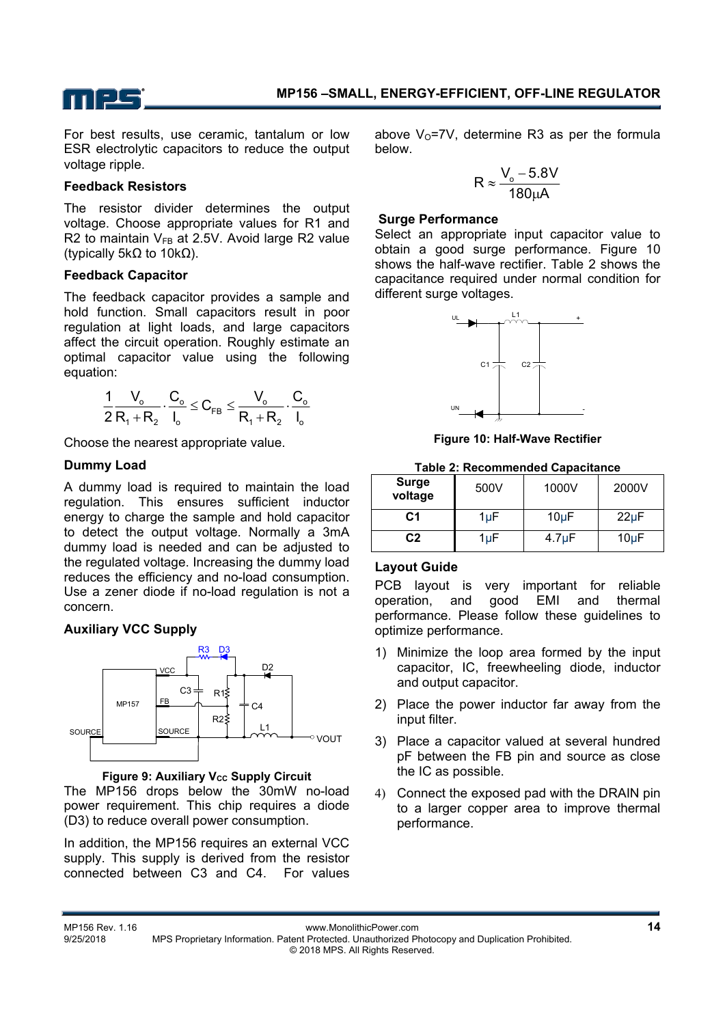

For best results, use ceramic, tantalum or low ESR electrolytic capacitors to reduce the output voltage ripple.

#### **Feedback Resistors**

The resistor divider determines the output voltage. Choose appropriate values for R1 and R2 to maintain  $V_{FB}$  at 2.5V. Avoid large R2 value (typically 5kΩ to 10kΩ).

### **Feedback Capacitor**

The feedback capacitor provides a sample and hold function. Small capacitors result in poor regulation at light loads, and large capacitors affect the circuit operation. Roughly estimate an optimal capacitor value using the following equation:

$$
\frac{1}{2}\frac{V_o}{R_1+R_2}\cdot\frac{C_o}{I_o}\leq C_{FB}\leq \frac{V_o}{R_1+R_2}\cdot\frac{C_o}{I_o}
$$

Choose the nearest appropriate value.

## **Dummy Load**

A dummy load is required to maintain the load regulation. This ensures sufficient inductor energy to charge the sample and hold capacitor to detect the output voltage. Normally a 3mA dummy load is needed and can be adjusted to the regulated voltage. Increasing the dummy load reduces the efficiency and no-load consumption. Use a zener diode if no-load regulation is not a concern.

## **Auxiliary VCC Supply**



**Figure 9: Auxiliary Vcc Supply Circuit** The MP156 drops below the 30mW no-load

power requirement. This chip requires a diode (D3) to reduce overall power consumption.

In addition, the MP156 requires an external VCC supply. This supply is derived from the resistor connected between C3 and C4. For values above  $V_0$ =7V, determine R3 as per the formula below.

$$
R \approx \frac{V_o - 5.8V}{180 \mu A}
$$

#### **Surge Performance**

Select an appropriate input capacitor value to obtain a good surge performance. Figure 10 shows the half-wave rectifier. Table 2 shows the capacitance required under normal condition for different surge voltages.



**Figure 10: Half-Wave Rectifier** 

| <b>Table 2: Recommended Capacitance</b> |  |
|-----------------------------------------|--|
|                                         |  |

| <b>Surge</b><br>voltage | 500V      | 1000V       | 2000V     |
|-------------------------|-----------|-------------|-----------|
| C1                      | $1 \mu F$ | $10\mu F$   | $22\mu F$ |
| C <sub>2</sub>          | $1 \mu F$ | $4.7 \mu F$ | $10\mu F$ |

## **Layout Guide**

PCB layout is very important for reliable operation, and good EMI and thermal performance. Please follow these guidelines to optimize performance.

- 1) Minimize the loop area formed by the input capacitor, IC, freewheeling diode, inductor and output capacitor.
- 2) Place the power inductor far away from the input filter.
- 3) Place a capacitor valued at several hundred pF between the FB pin and source as close the IC as possible.
- 4) Connect the exposed pad with the DRAIN pin to a larger copper area to improve thermal performance.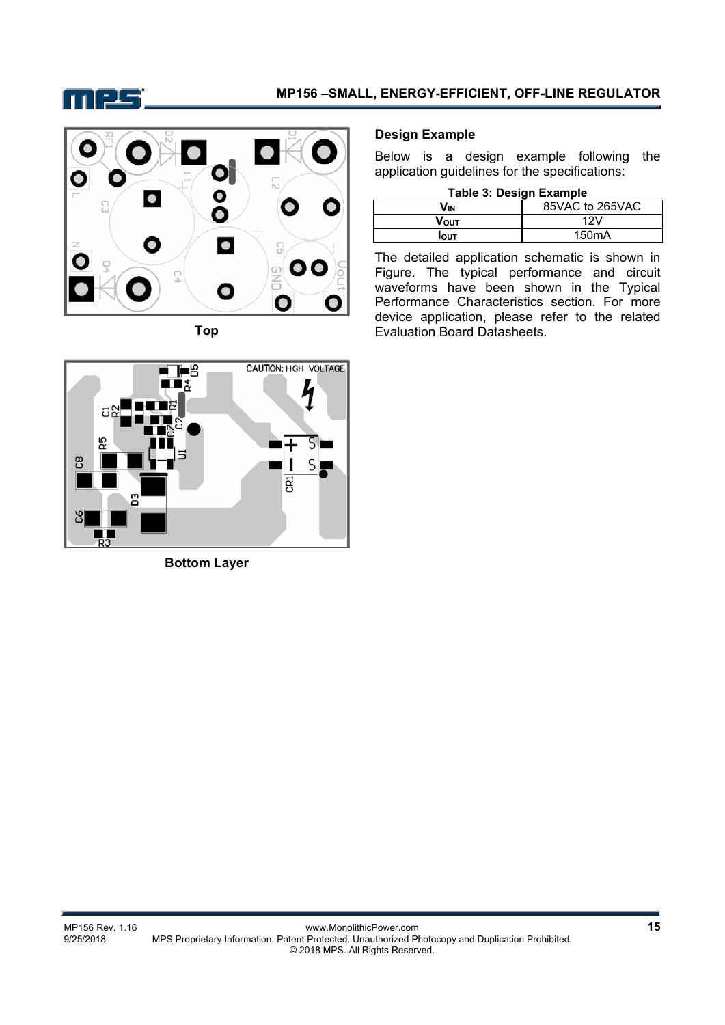



**Top** 

## CAUTION: HIGH VOLTAGE  $\blacksquare$  $\blacksquare$ הו ದ တ္တ Ξ ၛ S g Ω3

**Bottom Layer** 

### **Design Example**

Below is a design example following the application guidelines for the specifications:

**Table 3: Design Example** 

| Vın         | 85VAC to 265VAC    |
|-------------|--------------------|
| Vουτ        | /2۷                |
| <b>IOUT</b> | 150 <sub>m</sub> A |

The detailed application schematic is shown in Figure. The typical performance and circuit waveforms have been shown in the Typical Performance Characteristics section. For more device application, please refer to the related Evaluation Board Datasheets.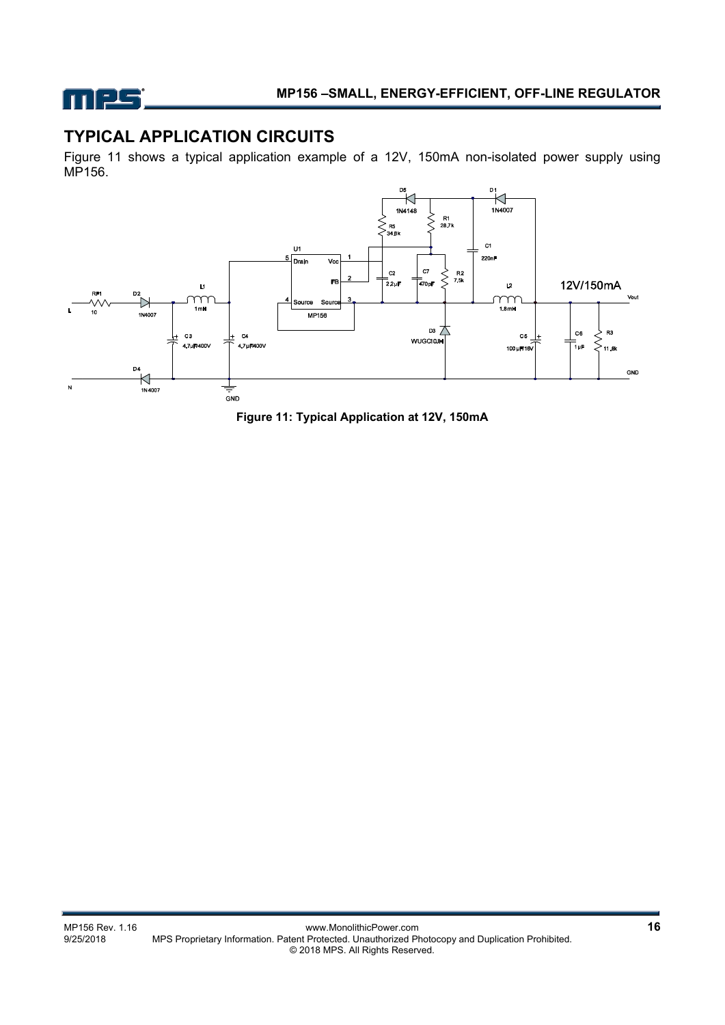

# **TYPICAL APPLICATION CIRCUITS**

Figure 11 shows a typical application example of a 12V, 150mA non-isolated power supply using MP156.



**Figure 11: Typical Application at 12V, 150mA**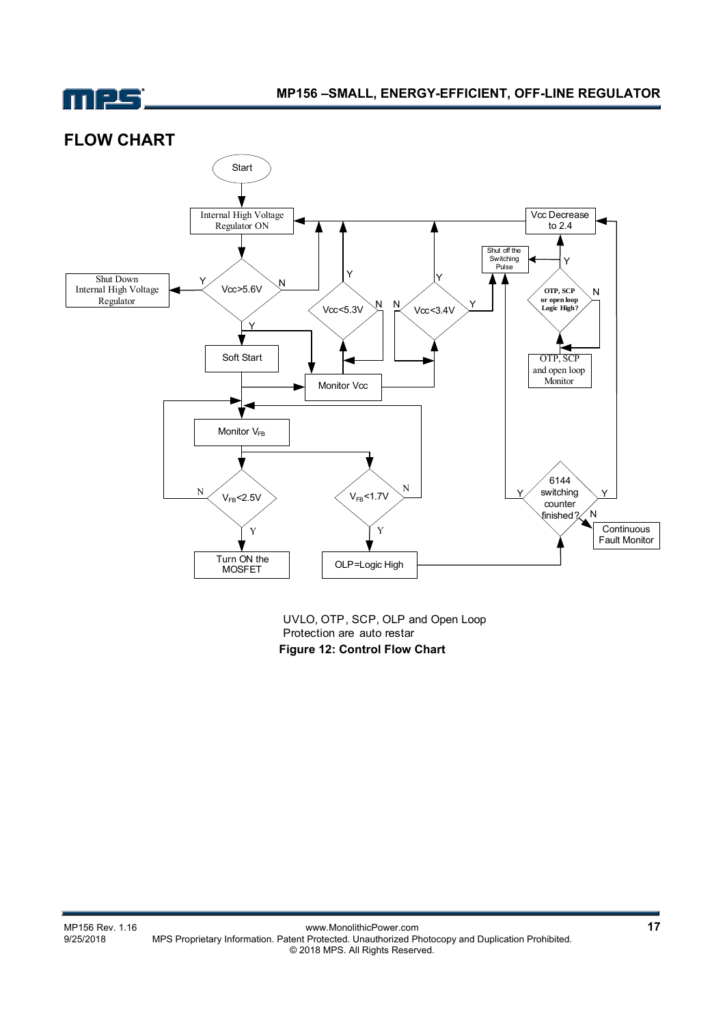

## **FLOW CHART**



UVLO, OTP, SCP, OLP and Open Loop Protection are auto restar **Figure 12: Control Flow Chart**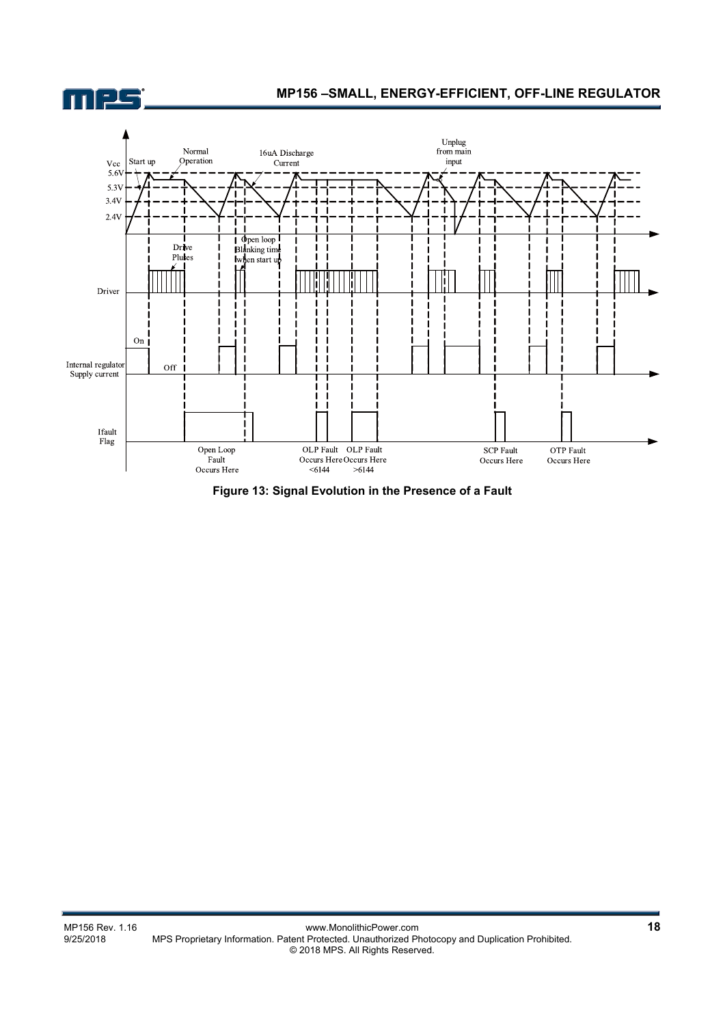

**Figure 13: Signal Evolution in the Presence of a Fault**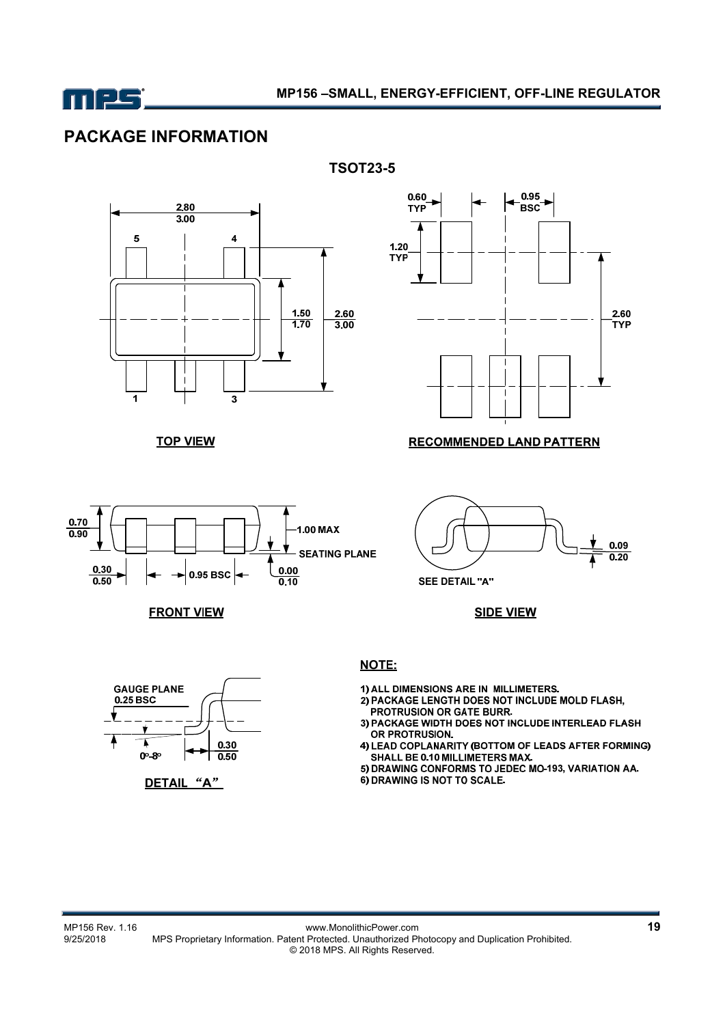

# **PACKAGE INFORMATION**



**TOP VIEW** 







#### **RECOMMENDED LAND PATTERN**



**SEE DETAIL "A"** 

**SIDE VIEW** 



**TSOT23-5** 

1) ALL DIMENSIONS ARE IN MILLIMETERS.

- 2) PACKAGE LENGTH DOES NOT INCLUDE MOLD FLASH,
- PROTRUSION OR GATE BURR.<br>3) PACKAGE WIDTH DOES NOT INCLUDE INTERLEAD FLASH OR PROTRUSION.
- 4) LEAD COPLANARITY (BOTTOM OF LEADS AFTER FORMING)<br>SHALL BE 0.10 MILLIMETERS MAX.
- 5) DRAWING CONFORMS TO JEDEC MO-193, VARIATION AA.
- 6) DRAWING IS NOT TO SCALE.